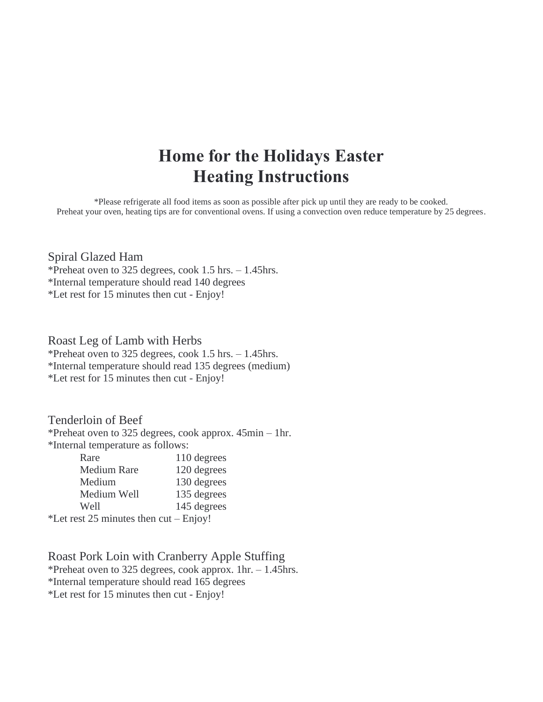# **Home for the Holidays Easter Heating Instructions**

\*Please refrigerate all food items as soon as possible after pick up until they are ready to be cooked. Preheat your oven, heating tips are for conventional ovens. If using a convection oven reduce temperature by 25 degrees.

#### Spiral Glazed Ham

\*Preheat oven to 325 degrees, cook 1.5 hrs. – 1.45hrs. \*Internal temperature should read 140 degrees \*Let rest for 15 minutes then cut - Enjoy!

#### Roast Leg of Lamb with Herbs

\*Preheat oven to 325 degrees, cook 1.5 hrs. – 1.45hrs. \*Internal temperature should read 135 degrees (medium) \*Let rest for 15 minutes then cut - Enjoy!

### Tenderloin of Beef

\*Preheat oven to 325 degrees, cook approx. 45min – 1hr. \*Internal temperature as follows:

| Rare                                  | 110 degrees           |
|---------------------------------------|-----------------------|
| <b>Medium Rare</b>                    | 120 degrees           |
| Medium                                | 130 degrees           |
| Medium Well                           | 135 degrees           |
| Well                                  | 145 degrees           |
| $\alpha t$ noot $25$ minutes than out | $\Gamma_{\text{min}}$ |

\*Let rest 25 minutes then cut – Enjoy!

Roast Pork Loin with Cranberry Apple Stuffing \*Preheat oven to 325 degrees, cook approx. 1hr. – 1.45hrs. \*Internal temperature should read 165 degrees \*Let rest for 15 minutes then cut - Enjoy!